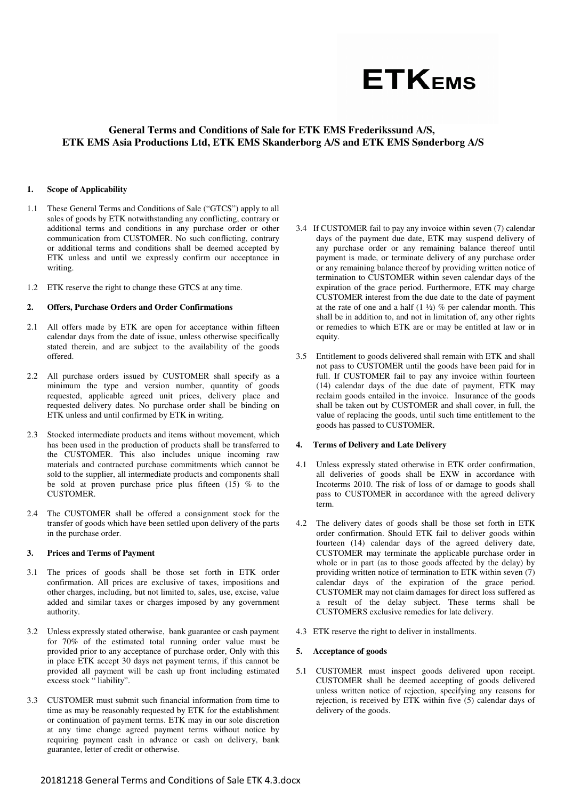

# **General Terms and Conditions of Sale for ETK EMS Frederikssund A/S, ETK EMS Asia Productions Ltd, ETK EMS Skanderborg A/S and ETK EMS Sønderborg A/S**

#### **1. Scope of Applicability**

- 1.1 These General Terms and Conditions of Sale ("GTCS") apply to all sales of goods by ETK notwithstanding any conflicting, contrary or additional terms and conditions in any purchase order or other communication from CUSTOMER. No such conflicting, contrary or additional terms and conditions shall be deemed accepted by ETK unless and until we expressly confirm our acceptance in writing.
- 1.2 ETK reserve the right to change these GTCS at any time.

#### **2. Offers, Purchase Orders and Order Confirmations**

- 2.1 All offers made by ETK are open for acceptance within fifteen calendar days from the date of issue, unless otherwise specifically stated therein, and are subject to the availability of the goods offered.
- 2.2 All purchase orders issued by CUSTOMER shall specify as a minimum the type and version number, quantity of goods requested, applicable agreed unit prices, delivery place and requested delivery dates. No purchase order shall be binding on ETK unless and until confirmed by ETK in writing.
- 2.3 Stocked intermediate products and items without movement, which has been used in the production of products shall be transferred to the CUSTOMER. This also includes unique incoming raw materials and contracted purchase commitments which cannot be sold to the supplier, all intermediate products and components shall be sold at proven purchase price plus fifteen  $(15)$  % to the CUSTOMER.
- 2.4 The CUSTOMER shall be offered a consignment stock for the transfer of goods which have been settled upon delivery of the parts in the purchase order.

#### **3. Prices and Terms of Payment**

- 3.1 The prices of goods shall be those set forth in ETK order confirmation. All prices are exclusive of taxes, impositions and other charges, including, but not limited to, sales, use, excise, value added and similar taxes or charges imposed by any government authority.
- 3.2 Unless expressly stated otherwise, bank guarantee or cash payment for 70% of the estimated total running order value must be provided prior to any acceptance of purchase order, Only with this in place ETK accept 30 days net payment terms, if this cannot be provided all payment will be cash up front including estimated excess stock " liability".
- 3.3 CUSTOMER must submit such financial information from time to time as may be reasonably requested by ETK for the establishment or continuation of payment terms. ETK may in our sole discretion at any time change agreed payment terms without notice by requiring payment cash in advance or cash on delivery, bank guarantee, letter of credit or otherwise.
- 3.4 If CUSTOMER fail to pay any invoice within seven (7) calendar days of the payment due date, ETK may suspend delivery of any purchase order or any remaining balance thereof until payment is made, or terminate delivery of any purchase order or any remaining balance thereof by providing written notice of termination to CUSTOMER within seven calendar days of the expiration of the grace period. Furthermore, ETK may charge CUSTOMER interest from the due date to the date of payment at the rate of one and a half  $(1 \frac{1}{2})$  % per calendar month. This shall be in addition to, and not in limitation of, any other rights or remedies to which ETK are or may be entitled at law or in equity.
- 3.5 Entitlement to goods delivered shall remain with ETK and shall not pass to CUSTOMER until the goods have been paid for in full. If CUSTOMER fail to pay any invoice within fourteen (14) calendar days of the due date of payment, ETK may reclaim goods entailed in the invoice. Insurance of the goods shall be taken out by CUSTOMER and shall cover, in full, the value of replacing the goods, until such time entitlement to the goods has passed to CUSTOMER.

#### **4. Terms of Delivery and Late Delivery**

- 4.1 Unless expressly stated otherwise in ETK order confirmation, all deliveries of goods shall be EXW in accordance with Incoterms 2010. The risk of loss of or damage to goods shall pass to CUSTOMER in accordance with the agreed delivery term.
- 4.2 The delivery dates of goods shall be those set forth in ETK order confirmation. Should ETK fail to deliver goods within fourteen (14) calendar days of the agreed delivery date, CUSTOMER may terminate the applicable purchase order in whole or in part (as to those goods affected by the delay) by providing written notice of termination to ETK within seven (7) calendar days of the expiration of the grace period. CUSTOMER may not claim damages for direct loss suffered as a result of the delay subject. These terms shall be CUSTOMERS exclusive remedies for late delivery.
- 4.3 ETK reserve the right to deliver in installments.

#### **5. Acceptance of goods**

5.1 CUSTOMER must inspect goods delivered upon receipt. CUSTOMER shall be deemed accepting of goods delivered unless written notice of rejection, specifying any reasons for rejection, is received by ETK within five (5) calendar days of delivery of the goods.